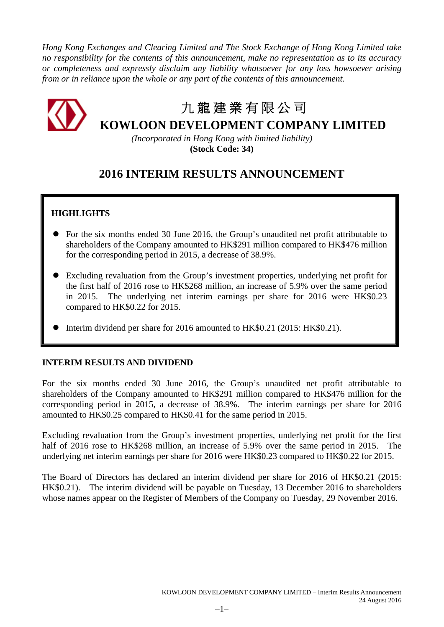*Hong Kong Exchanges and Clearing Limited and The Stock Exchange of Hong Kong Limited take no responsibility for the contents of this announcement, make no representation as to its accuracy or completeness and expressly disclaim any liability whatsoever for any loss howsoever arising from or in reliance upon the whole or any part of the contents of this announcement.*



# 九 龍 建 業 有 限 公 司

**KOWLOON DEVELOPMENT COMPANY LIMITED**

*(Incorporated in Hong Kong with limited liability)* **(Stock Code: 34)**

# **2016 INTERIM RESULTS ANNOUNCEMENT**

# **HIGHLIGHTS**

- For the six months ended 30 June 2016, the Group's unaudited net profit attributable to shareholders of the Company amounted to HK\$291 million compared to HK\$476 million for the corresponding period in 2015, a decrease of 38.9%.
- Excluding revaluation from the Group's investment properties, underlying net profit for the first half of 2016 rose to HK\$268 million, an increase of 5.9% over the same period in 2015. The underlying net interim earnings per share for 2016 were HK\$0.23 compared to HK\$0.22 for 2015.
- Interim dividend per share for 2016 amounted to HK\$0.21 (2015: HK\$0.21).

# **INTERIM RESULTS AND DIVIDEND**

For the six months ended 30 June 2016, the Group's unaudited net profit attributable to shareholders of the Company amounted to HK\$291 million compared to HK\$476 million for the corresponding period in 2015, a decrease of 38.9%. The interim earnings per share for 2016 amounted to HK\$0.25 compared to HK\$0.41 for the same period in 2015.

Excluding revaluation from the Group's investment properties, underlying net profit for the first half of 2016 rose to HK\$268 million, an increase of 5.9% over the same period in 2015. The underlying net interim earnings per share for 2016 were HK\$0.23 compared to HK\$0.22 for 2015.

The Board of Directors has declared an interim dividend per share for 2016 of HK\$0.21 (2015: HK\$0.21). The interim dividend will be payable on Tuesday, 13 December 2016 to shareholders whose names appear on the Register of Members of the Company on Tuesday, 29 November 2016.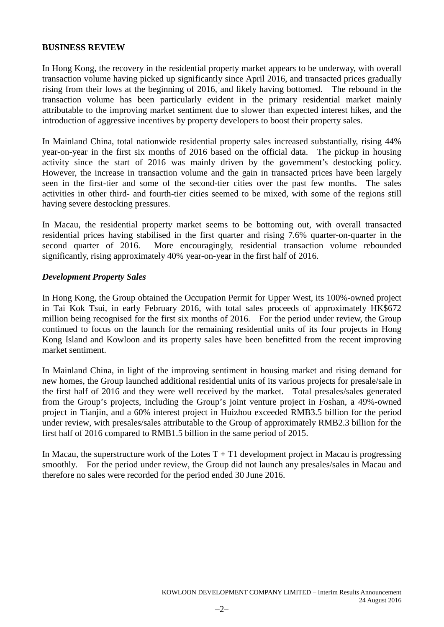# **BUSINESS REVIEW**

In Hong Kong, the recovery in the residential property market appears to be underway, with overall transaction volume having picked up significantly since April 2016, and transacted prices gradually rising from their lows at the beginning of 2016, and likely having bottomed. The rebound in the transaction volume has been particularly evident in the primary residential market mainly attributable to the improving market sentiment due to slower than expected interest hikes, and the introduction of aggressive incentives by property developers to boost their property sales.

In Mainland China, total nationwide residential property sales increased substantially, rising 44% year-on-year in the first six months of 2016 based on the official data. The pickup in housing activity since the start of 2016 was mainly driven by the government's destocking policy. However, the increase in transaction volume and the gain in transacted prices have been largely seen in the first-tier and some of the second-tier cities over the past few months. The sales activities in other third- and fourth-tier cities seemed to be mixed, with some of the regions still having severe destocking pressures.

In Macau, the residential property market seems to be bottoming out, with overall transacted residential prices having stabilised in the first quarter and rising 7.6% quarter-on-quarter in the second quarter of 2016. More encouragingly, residential transaction volume rebounded significantly, rising approximately 40% year-on-year in the first half of 2016.

# *Development Property Sales*

In Hong Kong, the Group obtained the Occupation Permit for Upper West, its 100%-owned project in Tai Kok Tsui, in early February 2016, with total sales proceeds of approximately HK\$672 million being recognised for the first six months of 2016. For the period under review, the Group continued to focus on the launch for the remaining residential units of its four projects in Hong Kong Island and Kowloon and its property sales have been benefitted from the recent improving market sentiment.

In Mainland China, in light of the improving sentiment in housing market and rising demand for new homes, the Group launched additional residential units of its various projects for presale/sale in the first half of 2016 and they were well received by the market. Total presales/sales generated from the Group's projects, including the Group's joint venture project in Foshan, a 49%-owned project in Tianjin, and a 60% interest project in Huizhou exceeded RMB3.5 billion for the period under review, with presales/sales attributable to the Group of approximately RMB2.3 billion for the first half of 2016 compared to RMB1.5 billion in the same period of 2015.

In Macau, the superstructure work of the Lotes  $T + T1$  development project in Macau is progressing smoothly. For the period under review, the Group did not launch any presales/sales in Macau and therefore no sales were recorded for the period ended 30 June 2016.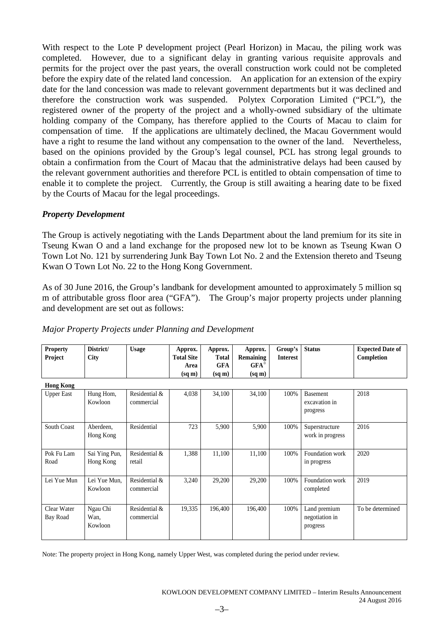With respect to the Lote P development project (Pearl Horizon) in Macau, the piling work was completed. However, due to a significant delay in granting various requisite approvals and permits for the project over the past years, the overall construction work could not be completed before the expiry date of the related land concession. An application for an extension of the expiry date for the land concession was made to relevant government departments but it was declined and therefore the construction work was suspended. Polytex Corporation Limited ("PCL"), the registered owner of the property of the project and a wholly-owned subsidiary of the ultimate holding company of the Company, has therefore applied to the Courts of Macau to claim for compensation of time. If the applications are ultimately declined, the Macau Government would have a right to resume the land without any compensation to the owner of the land. Nevertheless, based on the opinions provided by the Group's legal counsel, PCL has strong legal grounds to obtain a confirmation from the Court of Macau that the administrative delays had been caused by the relevant government authorities and therefore PCL is entitled to obtain compensation of time to enable it to complete the project. Currently, the Group is still awaiting a hearing date to be fixed by the Courts of Macau for the legal proceedings.

# *Property Development*

The Group is actively negotiating with the Lands Department about the land premium for its site in Tseung Kwan O and a land exchange for the proposed new lot to be known as Tseung Kwan O Town Lot No. 121 by surrendering Junk Bay Town Lot No. 2 and the Extension thereto and Tseung Kwan O Town Lot No. 22 to the Hong Kong Government.

As of 30 June 2016, the Group's landbank for development amounted to approximately 5 million sq m of attributable gross floor area ("GFA"). The Group's major property projects under planning and development are set out as follows:

| <b>Property</b><br>Project | District/<br>City           | <b>Usage</b>                | Approx.<br><b>Total Site</b><br>Area | Approx.<br>Total<br><b>GFA</b> | Approx.<br>Remaining<br>$GFA^*$ | Group's<br><b>Interest</b> | <b>Status</b>                                | <b>Expected Date of</b><br>Completion |
|----------------------------|-----------------------------|-----------------------------|--------------------------------------|--------------------------------|---------------------------------|----------------------------|----------------------------------------------|---------------------------------------|
|                            |                             |                             | $(sq \, \text{m})$                   | $(sq \, \text{m})$             | $(sq \, \text{m})$              |                            |                                              |                                       |
| <b>Hong Kong</b>           |                             |                             |                                      |                                |                                 |                            |                                              |                                       |
| <b>Upper East</b>          | Hung Hom,<br>Kowloon        | Residential &<br>commercial | 4,038                                | 34,100                         | 34,100                          | 100%                       | <b>Basement</b><br>excavation in<br>progress | 2018                                  |
| <b>South Coast</b>         | Aberdeen,<br>Hong Kong      | Residential                 | 723                                  | 5,900                          | 5,900                           | 100%                       | Superstructure<br>work in progress           | 2016                                  |
| Pok Fu Lam<br>Road         | Sai Ying Pun,<br>Hong Kong  | Residential &<br>retail     | 1,388                                | 11,100                         | 11,100                          | 100%                       | Foundation work<br>in progress               | 2020                                  |
| Lei Yue Mun                | Lei Yue Mun,<br>Kowloon     | Residential &<br>commercial | 3,240                                | 29,200                         | 29,200                          | 100%                       | Foundation work<br>completed                 | 2019                                  |
| Clear Water<br>Bay Road    | Ngau Chi<br>Wan,<br>Kowloon | Residential &<br>commercial | 19,335                               | 196,400                        | 196,400                         | 100%                       | Land premium<br>negotiation in<br>progress   | To be determined                      |

*Major Property Projects under Planning and Development* 

Note: The property project in Hong Kong, namely Upper West, was completed during the period under review.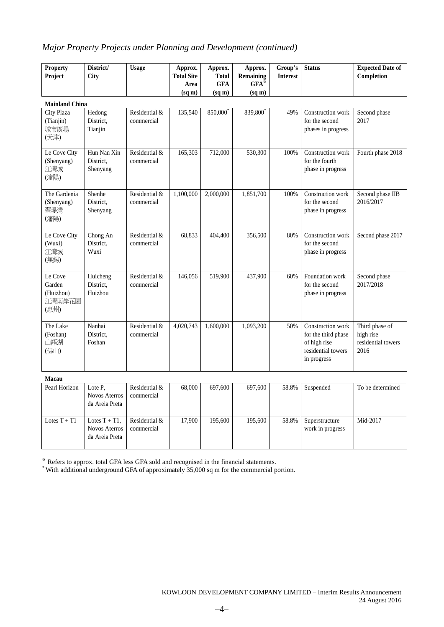# *Major Property Projects under Planning and Development (continued)*

| <b>Property</b><br>Project                       | District/<br>City                                          | <b>Usage</b>                | Approx.<br><b>Total Site</b><br>Area<br>$(sq \, \text{m})$ | Approx.<br><b>Total</b><br><b>GFA</b><br>$(sq \, \text{m})$ | Approx.<br><b>Remaining</b><br>$GFA^*$<br>(sq m) | Group's<br><b>Interest</b> | <b>Status</b>                                                                                 | <b>Expected Date of</b><br>Completion                     |
|--------------------------------------------------|------------------------------------------------------------|-----------------------------|------------------------------------------------------------|-------------------------------------------------------------|--------------------------------------------------|----------------------------|-----------------------------------------------------------------------------------------------|-----------------------------------------------------------|
| <b>Mainland China</b>                            |                                                            |                             |                                                            |                                                             |                                                  |                            |                                                                                               |                                                           |
| City Plaza<br>(Tianjin)<br>城市廣場<br>(天津)          | Hedong<br>District,<br>Tianjin                             | Residential &<br>commercial | 135,540                                                    | 850,000                                                     | 839,800                                          | 49%                        | Construction work<br>for the second<br>phases in progress                                     | Second phase<br>2017                                      |
| Le Cove City<br>(Shenyang)<br>江灣城<br>(瀋陽)        | Hun Nan Xin<br>District.<br>Shenyang                       | Residential &<br>commercial | 165,303                                                    | 712,000                                                     | 530,300                                          | 100%                       | Construction work<br>for the fourth<br>phase in progress                                      | Fourth phase 2018                                         |
| The Gardenia<br>(Shenyang)<br>翠堤灣<br>(瀋陽)        | Shenhe<br>District,<br>Shenyang                            | Residential &<br>commercial | 1,100,000                                                  | 2,000,000                                                   | 1,851,700                                        | 100%                       | Construction work<br>for the second<br>phase in progress                                      | Second phase IIB<br>2016/2017                             |
| Le Cove City<br>(Wuxi)<br>江灣城<br>(無錫)            | Chong An<br>District,<br>Wuxi                              | Residential &<br>commercial | 68,833                                                     | 404,400                                                     | 356,500                                          | 80%                        | Construction work<br>for the second<br>phase in progress                                      | Second phase 2017                                         |
| Le Cove<br>Garden<br>(Huizhou)<br>江灣南岸花園<br>(惠州) | Huicheng<br>District,<br>Huizhou                           | Residential &<br>commercial | 146,056                                                    | 519,900                                                     | 437,900                                          | 60%                        | Foundation work<br>for the second<br>phase in progress                                        | Second phase<br>2017/2018                                 |
| The Lake<br>(Foshan)<br>山語湖<br>(佛山)              | Nanhai<br>District.<br>Foshan                              | Residential &<br>commercial | 4,020,743                                                  | 1,600,000                                                   | 1,093,200                                        | 50%                        | Construction work<br>for the third phase<br>of high rise<br>residential towers<br>in progress | Third phase of<br>high rise<br>residential towers<br>2016 |
| Macau                                            |                                                            |                             |                                                            |                                                             |                                                  |                            |                                                                                               |                                                           |
| Pearl Horizon                                    | Lote P.<br><b>Novos Aterros</b><br>da Areia Preta          | Residential &<br>commercial | 68,000                                                     | 697,600                                                     | 697,600                                          | 58.8%                      | Suspended                                                                                     | To be determined                                          |
| Lotes $T + T1$                                   | Lotes $T + T1$ ,<br><b>Novos Aterros</b><br>da Areia Preta | Residential &<br>commercial | 17,900                                                     | 195,600                                                     | 195,600                                          | 58.8%                      | Superstructure<br>work in progress                                                            | Mid-2017                                                  |

※ Refers to approx. total GFA less GFA sold and recognised in the financial statements.

\* With additional underground GFA of approximately 35,000 sq m for the commercial portion.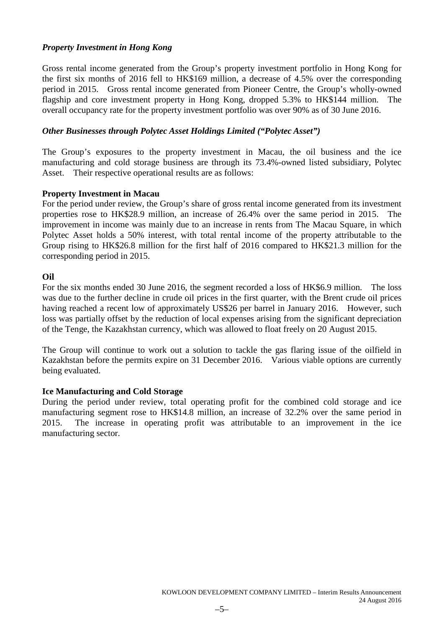# *Property Investment in Hong Kong*

Gross rental income generated from the Group's property investment portfolio in Hong Kong for the first six months of 2016 fell to HK\$169 million, a decrease of 4.5% over the corresponding period in 2015. Gross rental income generated from Pioneer Centre, the Group's wholly-owned flagship and core investment property in Hong Kong, dropped 5.3% to HK\$144 million. The overall occupancy rate for the property investment portfolio was over 90% as of 30 June 2016.

# *Other Businesses through Polytec Asset Holdings Limited ("Polytec Asset")*

The Group's exposures to the property investment in Macau, the oil business and the ice manufacturing and cold storage business are through its 73.4%-owned listed subsidiary, Polytec Asset. Their respective operational results are as follows:

# **Property Investment in Macau**

For the period under review, the Group's share of gross rental income generated from its investment properties rose to HK\$28.9 million, an increase of 26.4% over the same period in 2015. The improvement in income was mainly due to an increase in rents from The Macau Square, in which Polytec Asset holds a 50% interest, with total rental income of the property attributable to the Group rising to HK\$26.8 million for the first half of 2016 compared to HK\$21.3 million for the corresponding period in 2015.

# **Oil**

For the six months ended 30 June 2016, the segment recorded a loss of HK\$6.9 million. The loss was due to the further decline in crude oil prices in the first quarter, with the Brent crude oil prices having reached a recent low of approximately US\$26 per barrel in January 2016. However, such loss was partially offset by the reduction of local expenses arising from the significant depreciation of the Tenge, the Kazakhstan currency, which was allowed to float freely on 20 August 2015.

The Group will continue to work out a solution to tackle the gas flaring issue of the oilfield in Kazakhstan before the permits expire on 31 December 2016. Various viable options are currently being evaluated.

# **Ice Manufacturing and Cold Storage**

During the period under review, total operating profit for the combined cold storage and ice manufacturing segment rose to HK\$14.8 million, an increase of 32.2% over the same period in 2015. The increase in operating profit was attributable to an improvement in the ice manufacturing sector.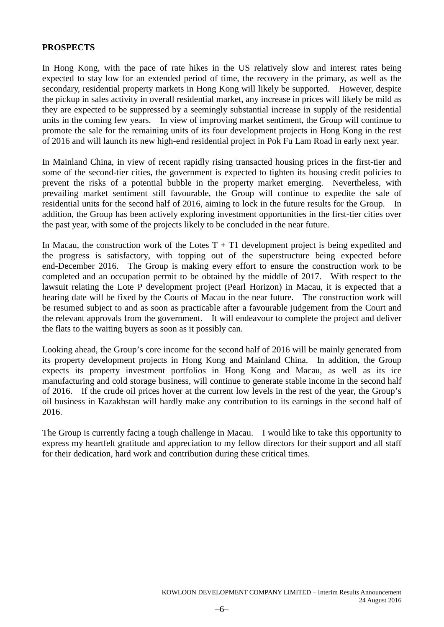# **PROSPECTS**

In Hong Kong, with the pace of rate hikes in the US relatively slow and interest rates being expected to stay low for an extended period of time, the recovery in the primary, as well as the secondary, residential property markets in Hong Kong will likely be supported. However, despite the pickup in sales activity in overall residential market, any increase in prices will likely be mild as they are expected to be suppressed by a seemingly substantial increase in supply of the residential units in the coming few years. In view of improving market sentiment, the Group will continue to promote the sale for the remaining units of its four development projects in Hong Kong in the rest of 2016 and will launch its new high-end residential project in Pok Fu Lam Road in early next year.

In Mainland China, in view of recent rapidly rising transacted housing prices in the first-tier and some of the second-tier cities, the government is expected to tighten its housing credit policies to prevent the risks of a potential bubble in the property market emerging. Nevertheless, with prevailing market sentiment still favourable, the Group will continue to expedite the sale of residential units for the second half of 2016, aiming to lock in the future results for the Group. In addition, the Group has been actively exploring investment opportunities in the first-tier cities over the past year, with some of the projects likely to be concluded in the near future.

In Macau, the construction work of the Lotes  $T + T1$  development project is being expedited and the progress is satisfactory, with topping out of the superstructure being expected before end-December 2016. The Group is making every effort to ensure the construction work to be completed and an occupation permit to be obtained by the middle of 2017. With respect to the lawsuit relating the Lote P development project (Pearl Horizon) in Macau, it is expected that a hearing date will be fixed by the Courts of Macau in the near future. The construction work will be resumed subject to and as soon as practicable after a favourable judgement from the Court and the relevant approvals from the government. It will endeavour to complete the project and deliver the flats to the waiting buyers as soon as it possibly can.

Looking ahead, the Group's core income for the second half of 2016 will be mainly generated from its property development projects in Hong Kong and Mainland China. In addition, the Group expects its property investment portfolios in Hong Kong and Macau, as well as its ice manufacturing and cold storage business, will continue to generate stable income in the second half of 2016. If the crude oil prices hover at the current low levels in the rest of the year, the Group's oil business in Kazakhstan will hardly make any contribution to its earnings in the second half of 2016.

The Group is currently facing a tough challenge in Macau. I would like to take this opportunity to express my heartfelt gratitude and appreciation to my fellow directors for their support and all staff for their dedication, hard work and contribution during these critical times.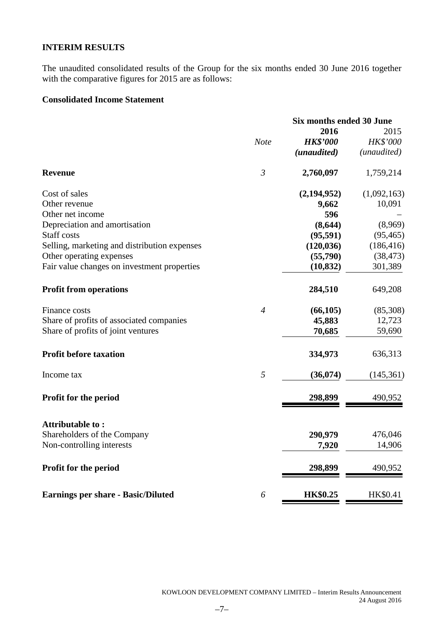# **INTERIM RESULTS**

The unaudited consolidated results of the Group for the six months ended 30 June 2016 together with the comparative figures for 2015 are as follows:

# **Consolidated Income Statement**

|                                              |                | <b>Six months ended 30 June</b> |                      |  |
|----------------------------------------------|----------------|---------------------------------|----------------------|--|
|                                              |                | 2016                            | 2015                 |  |
|                                              | <b>Note</b>    | <b>HK\$'000</b>                 | HK\$'000             |  |
|                                              |                | (unaudited)                     | ( <i>unaudited</i> ) |  |
| <b>Revenue</b>                               | $\mathfrak{Z}$ | 2,760,097                       | 1,759,214            |  |
| Cost of sales                                |                | (2,194,952)                     | (1,092,163)          |  |
| Other revenue                                |                | 9,662                           | 10,091               |  |
| Other net income                             |                | 596                             |                      |  |
| Depreciation and amortisation                |                | (8, 644)                        | (8,969)              |  |
| <b>Staff</b> costs                           |                | (95, 591)                       | (95, 465)            |  |
| Selling, marketing and distribution expenses |                | (120, 036)                      | (186, 416)           |  |
| Other operating expenses                     |                | (55,790)                        | (38, 473)            |  |
| Fair value changes on investment properties  |                | (10, 832)                       | 301,389              |  |
| <b>Profit from operations</b>                |                | 284,510                         | 649,208              |  |
| Finance costs                                | $\overline{4}$ | (66, 105)                       | (85,308)             |  |
| Share of profits of associated companies     |                | 45,883                          | 12,723               |  |
| Share of profits of joint ventures           |                | 70,685                          | 59,690               |  |
| <b>Profit before taxation</b>                |                | 334,973                         | 636,313              |  |
| Income tax                                   | 5              | (36,074)                        | (145,361)            |  |
| Profit for the period                        |                | 298,899                         | 490,952              |  |
| Attributable to:                             |                |                                 |                      |  |
| Shareholders of the Company                  |                | 290,979                         | 476,046              |  |
| Non-controlling interests                    |                | 7,920                           | 14,906               |  |
| Profit for the period                        |                | 298,899                         | 490,952              |  |
| <b>Earnings per share - Basic/Diluted</b>    | 6              | <b>HK\$0.25</b>                 | HK\$0.41             |  |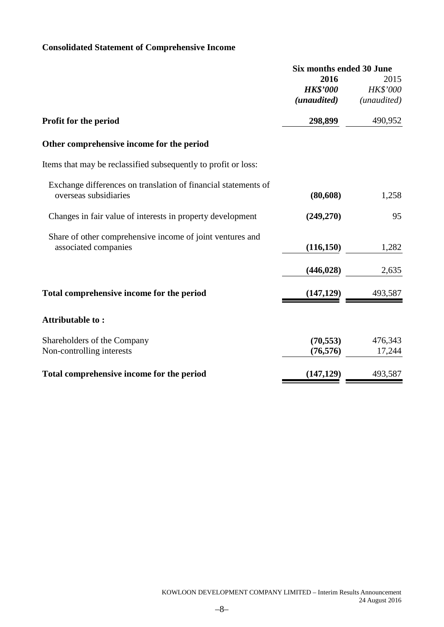# **Consolidated Statement of Comprehensive Income**

|                                                                | Six months ended 30 June |                 |
|----------------------------------------------------------------|--------------------------|-----------------|
|                                                                | 2016                     | 2015            |
|                                                                | <b>HK\$'000</b>          | <b>HK\$'000</b> |
|                                                                | (unaudited)              | (unaudited)     |
| Profit for the period                                          | 298,899                  | 490,952         |
| Other comprehensive income for the period                      |                          |                 |
| Items that may be reclassified subsequently to profit or loss: |                          |                 |
| Exchange differences on translation of financial statements of |                          |                 |
| overseas subsidiaries                                          | (80, 608)                | 1,258           |
| Changes in fair value of interests in property development     | (249,270)                | 95              |
| Share of other comprehensive income of joint ventures and      |                          |                 |
| associated companies                                           | (116, 150)               | 1,282           |
|                                                                | (446, 028)               | 2,635           |
| Total comprehensive income for the period                      | (147, 129)               | 493,587         |
|                                                                |                          |                 |
| Attributable to:                                               |                          |                 |
| Shareholders of the Company                                    | (70, 553)                | 476,343         |
| Non-controlling interests                                      | (76, 576)                | 17,244          |
| Total comprehensive income for the period                      | (147, 129)               | 493,587         |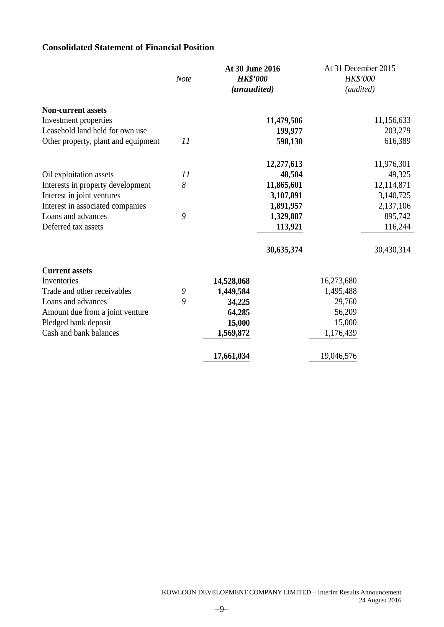# **Consolidated Statement of Financial Position**

|                                                          | <b>Note</b> | At 30 June 2016<br><b>HK\$'000</b><br>(unaudited) |                       | At 31 December 2015<br>HK\$'000<br>(audited) |                       |
|----------------------------------------------------------|-------------|---------------------------------------------------|-----------------------|----------------------------------------------|-----------------------|
| <b>Non-current assets</b>                                |             |                                                   |                       |                                              |                       |
| Investment properties<br>Leasehold land held for own use |             |                                                   | 11,479,506<br>199,977 |                                              | 11,156,633<br>203,279 |
| Other property, plant and equipment                      | 11          |                                                   | 598,130               |                                              | 616,389               |
|                                                          |             |                                                   |                       |                                              |                       |
|                                                          |             |                                                   | 12,277,613            |                                              | 11,976,301            |
| Oil exploitation assets                                  | 11          |                                                   | 48,504                |                                              | 49,325                |
| Interests in property development                        | 8           |                                                   | 11,865,601            |                                              | 12,114,871            |
| Interest in joint ventures                               |             |                                                   | 3,107,891             |                                              | 3,140,725             |
| Interest in associated companies                         |             |                                                   | 1,891,957             |                                              | 2,137,106             |
| Loans and advances                                       | 9           |                                                   | 1,329,887             |                                              | 895,742               |
| Deferred tax assets                                      |             |                                                   | 113,921               |                                              | 116,244               |
|                                                          |             |                                                   | 30,635,374            |                                              | 30,430,314            |
| <b>Current assets</b>                                    |             |                                                   |                       |                                              |                       |
| Inventories                                              |             | 14,528,068                                        |                       | 16,273,680                                   |                       |
| Trade and other receivables                              | 9           | 1,449,584                                         |                       | 1,495,488                                    |                       |
| Loans and advances                                       | 9           | 34,225                                            |                       | 29,760                                       |                       |
| Amount due from a joint venture                          |             | 64,285                                            |                       | 56,209                                       |                       |
| Pledged bank deposit                                     |             | 15,000                                            |                       | 15,000                                       |                       |
| Cash and bank balances                                   |             | 1,569,872                                         |                       | 1,176,439                                    |                       |
|                                                          |             | 17,661,034                                        |                       | 19,046,576                                   |                       |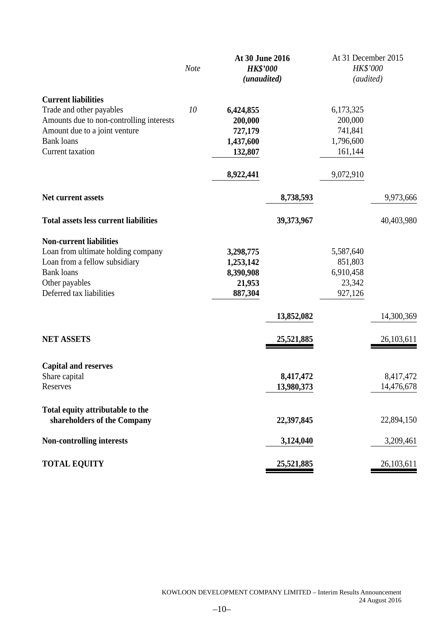|                                              |             | At 30 June 2016 |            | At 31 December 2015 |              |
|----------------------------------------------|-------------|-----------------|------------|---------------------|--------------|
|                                              | <b>Note</b> | <b>HK\$'000</b> |            | HK\$'000            |              |
|                                              |             | (unaudited)     |            | (audited)           |              |
| <b>Current liabilities</b>                   |             |                 |            |                     |              |
| Trade and other payables                     | 10          | 6,424,855       |            | 6,173,325           |              |
| Amounts due to non-controlling interests     |             | 200,000         |            | 200,000             |              |
| Amount due to a joint venture                |             | 727,179         |            | 741,841             |              |
| <b>Bank</b> loans                            |             | 1,437,600       |            | 1,796,600           |              |
| <b>Current</b> taxation                      |             | 132,807         |            | 161,144             |              |
|                                              |             | 8,922,441       |            | 9,072,910           |              |
| Net current assets                           |             |                 | 8,738,593  |                     | 9,973,666    |
|                                              |             |                 |            |                     |              |
| <b>Total assets less current liabilities</b> |             |                 | 39,373,967 |                     | 40,403,980   |
| <b>Non-current liabilities</b>               |             |                 |            |                     |              |
| Loan from ultimate holding company           |             | 3,298,775       |            | 5,587,640           |              |
| Loan from a fellow subsidiary                |             | 1,253,142       |            | 851,803             |              |
| <b>Bank</b> loans                            |             | 8,390,908       |            | 6,910,458           |              |
| Other payables                               |             | 21,953          |            | 23,342              |              |
| Deferred tax liabilities                     |             | 887,304         |            | 927,126             |              |
|                                              |             |                 | 13,852,082 |                     | 14,300,369   |
| <b>NET ASSETS</b>                            |             |                 |            |                     | 26, 103, 611 |
|                                              |             |                 | 25,521,885 |                     |              |
| <b>Capital and reserves</b>                  |             |                 |            |                     |              |
| Share capital                                |             |                 | 8,417,472  |                     | 8,417,472    |
| Reserves                                     |             |                 | 13,980,373 |                     | 14,476,678   |
| Total equity attributable to the             |             |                 |            |                     |              |
| shareholders of the Company                  |             |                 | 22,397,845 |                     | 22,894,150   |
| <b>Non-controlling interests</b>             |             |                 | 3,124,040  |                     | 3,209,461    |
| <b>TOTAL EQUITY</b>                          |             |                 | 25,521,885 |                     | 26,103,611   |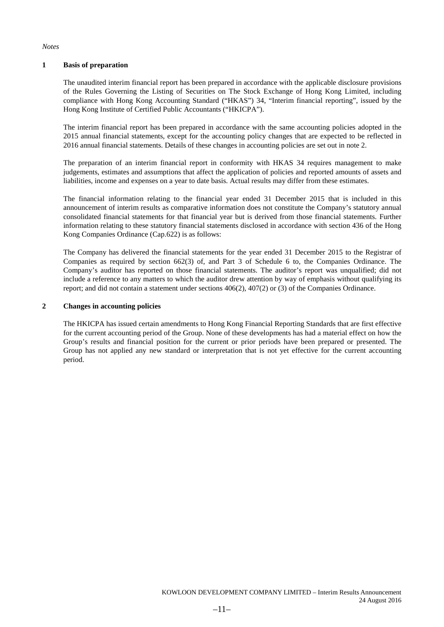#### *Notes*

#### **1 Basis of preparation**

The unaudited interim financial report has been prepared in accordance with the applicable disclosure provisions of the Rules Governing the Listing of Securities on The Stock Exchange of Hong Kong Limited, including compliance with Hong Kong Accounting Standard ("HKAS") 34, "Interim financial reporting", issued by the Hong Kong Institute of Certified Public Accountants ("HKICPA").

The interim financial report has been prepared in accordance with the same accounting policies adopted in the 2015 annual financial statements, except for the accounting policy changes that are expected to be reflected in 2016 annual financial statements. Details of these changes in accounting policies are set out in note 2.

The preparation of an interim financial report in conformity with HKAS 34 requires management to make judgements, estimates and assumptions that affect the application of policies and reported amounts of assets and liabilities, income and expenses on a year to date basis. Actual results may differ from these estimates.

The financial information relating to the financial year ended 31 December 2015 that is included in this announcement of interim results as comparative information does not constitute the Company's statutory annual consolidated financial statements for that financial year but is derived from those financial statements. Further information relating to these statutory financial statements disclosed in accordance with section 436 of the Hong Kong Companies Ordinance (Cap.622) is as follows:

The Company has delivered the financial statements for the year ended 31 December 2015 to the Registrar of Companies as required by section 662(3) of, and Part 3 of Schedule 6 to, the Companies Ordinance. The Company's auditor has reported on those financial statements. The auditor's report was unqualified; did not include a reference to any matters to which the auditor drew attention by way of emphasis without qualifying its report; and did not contain a statement under sections 406(2), 407(2) or (3) of the Companies Ordinance.

#### **2 Changes in accounting policies**

The HKICPA has issued certain amendments to Hong Kong Financial Reporting Standards that are first effective for the current accounting period of the Group. None of these developments has had a material effect on how the Group's results and financial position for the current or prior periods have been prepared or presented. The Group has not applied any new standard or interpretation that is not yet effective for the current accounting period.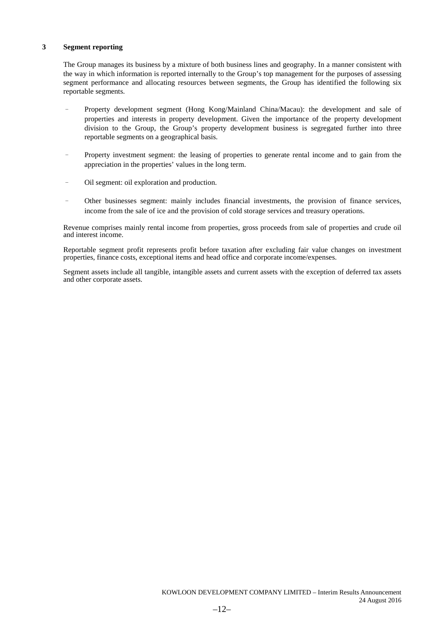#### **3 Segment reporting**

The Group manages its business by a mixture of both business lines and geography. In a manner consistent with the way in which information is reported internally to the Group's top management for the purposes of assessing segment performance and allocating resources between segments, the Group has identified the following six reportable segments.

- Property development segment (Hong Kong/Mainland China/Macau): the development and sale of properties and interests in property development. Given the importance of the property development division to the Group, the Group's property development business is segregated further into three reportable segments on a geographical basis.
- Property investment segment: the leasing of properties to generate rental income and to gain from the appreciation in the properties' values in the long term.
- Oil segment: oil exploration and production.
- Other businesses segment: mainly includes financial investments, the provision of finance services, income from the sale of ice and the provision of cold storage services and treasury operations.

Revenue comprises mainly rental income from properties, gross proceeds from sale of properties and crude oil and interest income.

Reportable segment profit represents profit before taxation after excluding fair value changes on investment properties, finance costs, exceptional items and head office and corporate income/expenses.

Segment assets include all tangible, intangible assets and current assets with the exception of deferred tax assets and other corporate assets.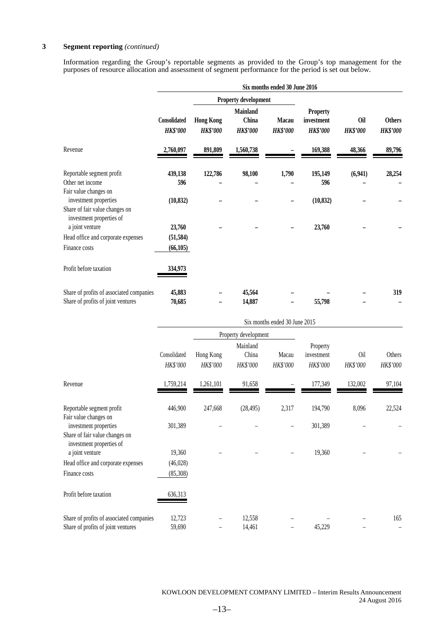#### **3 Segment reporting** *(continued)*

Information regarding the Group's reportable segments as provided to the Group's top management for the purposes of resource allocation and assessment of segment performance for the period is set out below.

|                                                                                                              |                                 |                                     |                                             | Six months ended 30 June 2016 |                                           |                        |                                  |
|--------------------------------------------------------------------------------------------------------------|---------------------------------|-------------------------------------|---------------------------------------------|-------------------------------|-------------------------------------------|------------------------|----------------------------------|
|                                                                                                              | Property development            |                                     |                                             |                               |                                           |                        |                                  |
|                                                                                                              | Consolidated<br><b>HK\$'000</b> | <b>Hong Kong</b><br><b>HK\$'000</b> | <b>Mainland</b><br>China<br><b>HK\$'000</b> | Macau<br><b>HK\$'000</b>      | Property<br>investment<br><b>HK\$'000</b> | Oil<br><b>HK\$'000</b> | <b>Others</b><br><b>HK\$'000</b> |
| Revenue                                                                                                      | 2,760,097                       | 891,809                             | 1,560,738                                   |                               | 169,388                                   | 48,366                 | 89,796                           |
| Reportable segment profit<br>Other net income                                                                | 439,138<br>596                  | 122,786                             | 98,100                                      | 1,790                         | 195,149<br>596                            | (6,941)                | 28,254                           |
| Fair value changes on<br>investment properties<br>Share of fair value changes on<br>investment properties of | (10, 832)                       |                                     |                                             |                               | (10, 832)                                 |                        |                                  |
| a joint venture                                                                                              | 23,760                          |                                     |                                             |                               | 23,760                                    |                        |                                  |
| Head office and corporate expenses<br>Finance costs                                                          | (51, 584)<br>(66, 105)          |                                     |                                             |                               |                                           |                        |                                  |
| Profit before taxation                                                                                       | 334,973                         |                                     |                                             |                               |                                           |                        |                                  |
| Share of profits of associated companies<br>Share of profits of joint ventures                               | 45,883<br>70,685                |                                     | 45,564<br>14,887                            |                               | 55,798                                    |                        | 319                              |
|                                                                                                              |                                 |                                     |                                             | Six months ended 30 June 2015 |                                           |                        |                                  |
|                                                                                                              |                                 |                                     | Property development                        |                               |                                           |                        |                                  |
|                                                                                                              | Consolidated<br>HK\$'000        | Hong Kong<br>HK\$'000               | Mainland<br>China<br>HK\$'000               | Macau<br>HK\$'000             | Property<br>investment<br>HK\$'000        | <b>Oil</b><br>HK\$'000 | Others<br>HK\$'000               |
| Revenue                                                                                                      | .759,214                        | 1,261,101                           | 91,658                                      |                               | 177,349                                   | 132,002                | 97,104                           |

|                                                                                     | Consolidated<br>HK\$'000 | Hong Kong<br>HK\$'000 | Mainland<br>China<br>HK\$'000 | Macau<br>HK\$'000 | Property<br>investment<br>HK\$'000 | Oil<br>HK\$'000 | Others<br>HK\$'000 |
|-------------------------------------------------------------------------------------|--------------------------|-----------------------|-------------------------------|-------------------|------------------------------------|-----------------|--------------------|
| Revenue                                                                             | 1,759,214                | 1,261,101             | 91,658                        |                   | 177,349                            | 132,002         | 97,104             |
| Reportable segment profit<br>Fair value changes on                                  | 446,900                  | 247,668               | (28, 495)                     | 2,317             | 194,790                            | 8,096           | 22,524             |
| investment properties<br>Share of fair value changes on<br>investment properties of | 301,389                  |                       |                               |                   | 301,389                            |                 |                    |
| a joint venture<br>Head office and corporate expenses                               | 19,360<br>(46,028)       |                       |                               |                   | 19,360                             |                 |                    |
| Finance costs                                                                       | (85,308)                 |                       |                               |                   |                                    |                 |                    |
| Profit before taxation                                                              | 636,313                  |                       |                               |                   |                                    |                 |                    |
| Share of profits of associated companies<br>Share of profits of joint ventures      | 12,723<br>59,690         |                       | 12,558<br>14,461              |                   | 45,229                             |                 | 165                |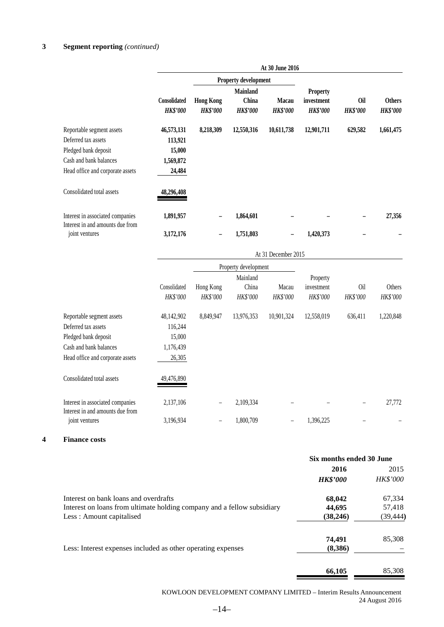# **3 Segment reporting** *(continued)*

|                                                                                                                                        |                                                        |                                     |                                             | At 30 June 2016                 |                                                  |                               |                                  |
|----------------------------------------------------------------------------------------------------------------------------------------|--------------------------------------------------------|-------------------------------------|---------------------------------------------|---------------------------------|--------------------------------------------------|-------------------------------|----------------------------------|
|                                                                                                                                        |                                                        |                                     | Property development                        |                                 |                                                  |                               |                                  |
|                                                                                                                                        | Consolidated<br><b>HK\$'000</b>                        | <b>Hong Kong</b><br><b>HK\$'000</b> | <b>Mainland</b><br>China<br><b>HK\$'000</b> | <b>Macau</b><br><b>HK\$'000</b> | <b>Property</b><br>investment<br><b>HK\$'000</b> | <b>Oil</b><br><b>HK\$'000</b> | <b>Others</b><br><b>HK\$'000</b> |
| Reportable segment assets<br>Deferred tax assets<br>Pledged bank deposit<br>Cash and bank balances<br>Head office and corporate assets | 46,573,131<br>113,921<br>15,000<br>1,569,872<br>24,484 | 8,218,309                           | 12,550,316                                  | 10,611,738                      | 12,901,711                                       | 629,582                       | 1,661,475                        |
| Consolidated total assets                                                                                                              | 48,296,408                                             |                                     |                                             |                                 |                                                  |                               |                                  |
| Interest in associated companies<br>Interest in and amounts due from<br>joint ventures                                                 | 1,891,957<br>3,172,176                                 |                                     | 1,864,601<br>1,751,803                      |                                 | 1,420,373                                        |                               | 27,356                           |
|                                                                                                                                        |                                                        |                                     |                                             | At 31 December 2015             |                                                  |                               |                                  |
|                                                                                                                                        |                                                        |                                     | Property development                        |                                 |                                                  |                               |                                  |
|                                                                                                                                        | Consolidated<br>$IIPQ$ $000$                           | Hong Kong<br>IIPQ                   | Mainland<br>China<br>IIDQ, OAO              | Macau<br>$IIDQ$ $000$           | Property<br>investment<br>$IIDQ$ , $0.00$        | Oil<br>$IIDQ$ $000$           | Others<br>$IIDQ$ , $0.00$        |

|                                                    | <b>HK\$'000</b> | <b>HK\$'000</b>   | <b>HK\$'000</b> | <b>HK\$'000</b> | <b>HK\$'000</b> | <b>HK\$'000</b> | <i>HK\$'000</i> |
|----------------------------------------------------|-----------------|-------------------|-----------------|-----------------|-----------------|-----------------|-----------------|
| Reportable segment assets                          | 48,142,902      | 8,849,947         | 13,976,353      | 10.901.324      | 12,558,019      | 636,411         | 1,220,848       |
| Deferred tax assets                                | 116.244         |                   |                 |                 |                 |                 |                 |
| Pledged bank deposit                               | 15,000          |                   |                 |                 |                 |                 |                 |
| Cash and bank balances                             | 1,176,439       |                   |                 |                 |                 |                 |                 |
| Head office and corporate assets                   | 26,305          |                   |                 |                 |                 |                 |                 |
| Consolidated total assets                          | 49,476,890      |                   |                 |                 |                 |                 |                 |
| Interest in associated companies                   | 2,137,106       | $\qquad \qquad -$ | 2,109,334       |                 |                 | -               | 27,772          |
| Interest in and amounts due from<br>joint ventures | 3,196,934       |                   | 1.800.709       | -               | 1.396.225       |                 |                 |

### **4 Finance costs**

|                                                                         | Six months ended 30 June |           |
|-------------------------------------------------------------------------|--------------------------|-----------|
|                                                                         | 2016                     | 2015      |
|                                                                         | <b>HK\$'000</b>          | HK\$'000  |
| Interest on bank loans and overdrafts                                   | 68,042                   | 67,334    |
| Interest on loans from ultimate holding company and a fellow subsidiary | 44,695                   | 57,418    |
| Less: Amount capitalised                                                | (38, 246)                | (39, 444) |
|                                                                         | 74,491                   | 85,308    |
| Less: Interest expenses included as other operating expenses            | (8,386)                  |           |
|                                                                         | 66.105                   | 85,308    |

KOWLOON DEVELOPMENT COMPANY LIMITED – Interim Results Announcement 24 August 2016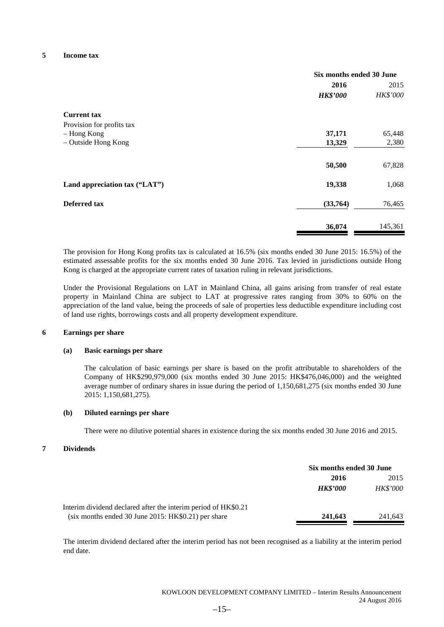#### **5 Income tax**

|                               | Six months ended 30 June |          |
|-------------------------------|--------------------------|----------|
|                               | 2016                     | 2015     |
|                               | <b>HK\$'000</b>          | HK\$'000 |
| <b>Current tax</b>            |                          |          |
| Provision for profits tax     |                          |          |
| - Hong Kong                   | 37,171                   | 65,448   |
| - Outside Hong Kong           | 13,329                   | 2,380    |
|                               | 50,500                   | 67,828   |
| Land appreciation tax ("LAT") | 19,338                   | 1,068    |
| Deferred tax                  | (33,764)                 | 76,465   |
|                               | 36,074                   | 145,361  |

The provision for Hong Kong profits tax is calculated at 16.5% (six months ended 30 June 2015: 16.5%) of the estimated assessable profits for the six months ended 30 June 2016. Tax levied in jurisdictions outside Hong Kong is charged at the appropriate current rates of taxation ruling in relevant jurisdictions.

Under the Provisional Regulations on LAT in Mainland China, all gains arising from transfer of real estate property in Mainland China are subject to LAT at progressive rates ranging from 30% to 60% on the appreciation of the land value, being the proceeds of sale of properties less deductible expenditure including cost of land use rights, borrowings costs and all property development expenditure.

#### **6 Earnings per share**

#### **(a) Basic earnings per share**

The calculation of basic earnings per share is based on the profit attributable to shareholders of the Company of HK\$290,979,000 (six months ended 30 June 2015: HK\$476,046,000) and the weighted average number of ordinary shares in issue during the period of 1,150,681,275 (six months ended 30 June 2015: 1,150,681,275).

#### **(b) Diluted earnings per share**

There were no dilutive potential shares in existence during the six months ended 30 June 2016 and 2015.

#### **7 Dividends**

|                                                                | Six months ended 30 June |                 |
|----------------------------------------------------------------|--------------------------|-----------------|
|                                                                | 2016                     | 2015            |
|                                                                | <b>HK\$'000</b>          | <b>HK\$'000</b> |
| Interim dividend declared after the interim period of HK\$0.21 |                          |                 |
| (six months ended 30 June 2015: HK\$0.21) per share            | 241,643                  | 241,643         |

The interim dividend declared after the interim period has not been recognised as a liability at the interim period end date.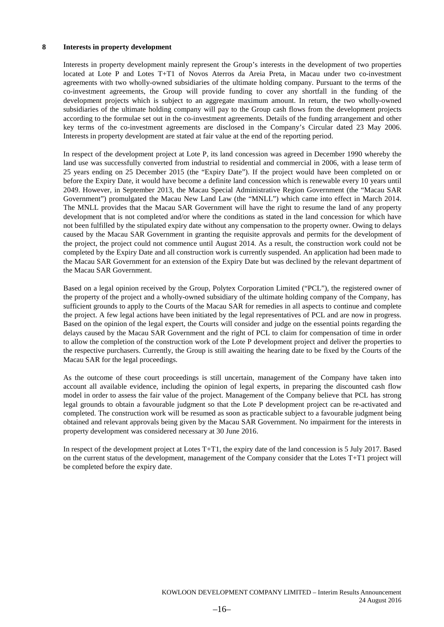#### **8 Interests in property development**

Interests in property development mainly represent the Group's interests in the development of two properties located at Lote P and Lotes T+T1 of Novos Aterros da Areia Preta, in Macau under two co-investment agreements with two wholly-owned subsidiaries of the ultimate holding company. Pursuant to the terms of the co-investment agreements, the Group will provide funding to cover any shortfall in the funding of the development projects which is subject to an aggregate maximum amount. In return, the two wholly-owned subsidiaries of the ultimate holding company will pay to the Group cash flows from the development projects according to the formulae set out in the co-investment agreements. Details of the funding arrangement and other key terms of the co-investment agreements are disclosed in the Company's Circular dated 23 May 2006. Interests in property development are stated at fair value at the end of the reporting period.

In respect of the development project at Lote P, its land concession was agreed in December 1990 whereby the land use was successfully converted from industrial to residential and commercial in 2006, with a lease term of 25 years ending on 25 December 2015 (the "Expiry Date"). If the project would have been completed on or before the Expiry Date, it would have become a definite land concession which is renewable every 10 years until 2049. However, in September 2013, the Macau Special Administrative Region Government (the "Macau SAR Government") promulgated the Macau New Land Law (the "MNLL") which came into effect in March 2014. The MNLL provides that the Macau SAR Government will have the right to resume the land of any property development that is not completed and/or where the conditions as stated in the land concession for which have not been fulfilled by the stipulated expiry date without any compensation to the property owner. Owing to delays caused by the Macau SAR Government in granting the requisite approvals and permits for the development of the project, the project could not commence until August 2014. As a result, the construction work could not be completed by the Expiry Date and all construction work is currently suspended. An application had been made to the Macau SAR Government for an extension of the Expiry Date but was declined by the relevant department of the Macau SAR Government.

Based on a legal opinion received by the Group, Polytex Corporation Limited ("PCL"), the registered owner of the property of the project and a wholly-owned subsidiary of the ultimate holding company of the Company, has sufficient grounds to apply to the Courts of the Macau SAR for remedies in all aspects to continue and complete the project. A few legal actions have been initiated by the legal representatives of PCL and are now in progress. Based on the opinion of the legal expert, the Courts will consider and judge on the essential points regarding the delays caused by the Macau SAR Government and the right of PCL to claim for compensation of time in order to allow the completion of the construction work of the Lote P development project and deliver the properties to the respective purchasers. Currently, the Group is still awaiting the hearing date to be fixed by the Courts of the Macau SAR for the legal proceedings.

As the outcome of these court proceedings is still uncertain, management of the Company have taken into account all available evidence, including the opinion of legal experts, in preparing the discounted cash flow model in order to assess the fair value of the project. Management of the Company believe that PCL has strong legal grounds to obtain a favourable judgment so that the Lote P development project can be re-activated and completed. The construction work will be resumed as soon as practicable subject to a favourable judgment being obtained and relevant approvals being given by the Macau SAR Government. No impairment for the interests in property development was considered necessary at 30 June 2016.

In respect of the development project at Lotes T+T1, the expiry date of the land concession is 5 July 2017. Based on the current status of the development, management of the Company consider that the Lotes T+T1 project will be completed before the expiry date.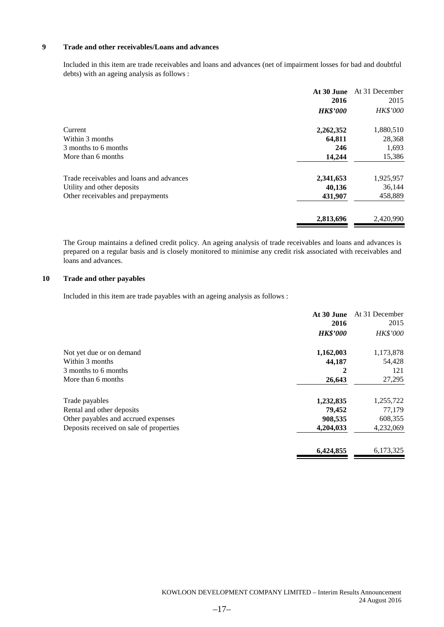### **9 Trade and other receivables/Loans and advances**

Included in this item are trade receivables and loans and advances (net of impairment losses for bad and doubtful debts) with an ageing analysis as follows :

|                                          | At 30 June<br>2016 | At 31 December<br>2015 |
|------------------------------------------|--------------------|------------------------|
|                                          | <b>HK\$'000</b>    | HK\$'000               |
| Current                                  | 2,262,352          | 1,880,510              |
| Within 3 months                          | 64,811             | 28,368                 |
| 3 months to 6 months                     | 246                | 1,693                  |
| More than 6 months                       | 14,244             | 15,386                 |
| Trade receivables and loans and advances | 2,341,653          | 1,925,957              |
| Utility and other deposits               | 40,136             | 36,144                 |
| Other receivables and prepayments        | 431,907            | 458,889                |
|                                          | 2,813,696          | 2,420,990              |

The Group maintains a defined credit policy. An ageing analysis of trade receivables and loans and advances is prepared on a regular basis and is closely monitored to minimise any credit risk associated with receivables and loans and advances.

#### **10 Trade and other payables**

Included in this item are trade payables with an ageing analysis as follows :

| At 30 June      | At 31 December |
|-----------------|----------------|
| 2016            | 2015           |
| <b>HK\$'000</b> | HK\$'000       |
| 1,162,003       | 1,173,878      |
| 44,187          | 54,428         |
| 2               | 121            |
| 26,643          | 27,295         |
| 1,232,835       | 1,255,722      |
| 79,452          | 77,179         |
| 908,535         | 608,355        |
| 4,204,033       | 4,232,069      |
| 6,424,855       | 6,173,325      |
|                 |                |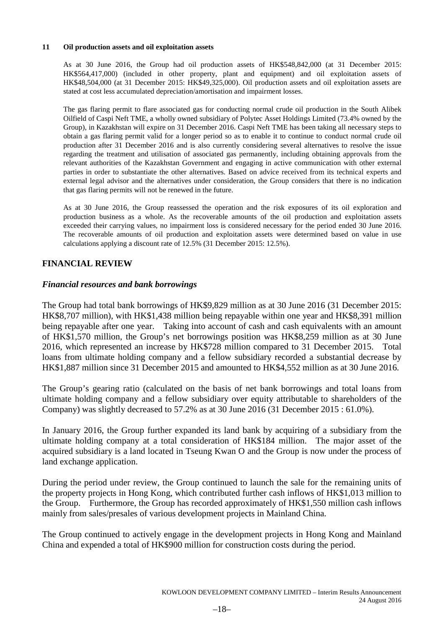#### **11 Oil production assets and oil exploitation assets**

As at 30 June 2016, the Group had oil production assets of HK\$548,842,000 (at 31 December 2015: HK\$564,417,000) (included in other property, plant and equipment) and oil exploitation assets of HK\$48,504,000 (at 31 December 2015: HK\$49,325,000). Oil production assets and oil exploitation assets are stated at cost less accumulated depreciation/amortisation and impairment losses.

The gas flaring permit to flare associated gas for conducting normal crude oil production in the South Alibek Oilfield of Caspi Neft TME, a wholly owned subsidiary of Polytec Asset Holdings Limited (73.4% owned by the Group), in Kazakhstan will expire on 31 December 2016. Caspi Neft TME has been taking all necessary steps to obtain a gas flaring permit valid for a longer period so as to enable it to continue to conduct normal crude oil production after 31 December 2016 and is also currently considering several alternatives to resolve the issue regarding the treatment and utilisation of associated gas permanently, including obtaining approvals from the relevant authorities of the Kazakhstan Government and engaging in active communication with other external parties in order to substantiate the other alternatives. Based on advice received from its technical experts and external legal advisor and the alternatives under consideration, the Group considers that there is no indication that gas flaring permits will not be renewed in the future.

As at 30 June 2016, the Group reassessed the operation and the risk exposures of its oil exploration and production business as a whole. As the recoverable amounts of the oil production and exploitation assets exceeded their carrying values, no impairment loss is considered necessary for the period ended 30 June 2016. The recoverable amounts of oil production and exploitation assets were determined based on value in use calculations applying a discount rate of 12.5% (31 December 2015: 12.5%).

# **FINANCIAL REVIEW**

### *Financial resources and bank borrowings*

The Group had total bank borrowings of HK\$9,829 million as at 30 June 2016 (31 December 2015: HK\$8,707 million), with HK\$1,438 million being repayable within one year and HK\$8,391 million being repayable after one year. Taking into account of cash and cash equivalents with an amount of HK\$1,570 million, the Group's net borrowings position was HK\$8,259 million as at 30 June 2016, which represented an increase by HK\$728 million compared to 31 December 2015. Total loans from ultimate holding company and a fellow subsidiary recorded a substantial decrease by HK\$1,887 million since 31 December 2015 and amounted to HK\$4,552 million as at 30 June 2016.

The Group's gearing ratio (calculated on the basis of net bank borrowings and total loans from ultimate holding company and a fellow subsidiary over equity attributable to shareholders of the Company) was slightly decreased to 57.2% as at 30 June 2016 (31 December 2015 : 61.0%).

In January 2016, the Group further expanded its land bank by acquiring of a subsidiary from the ultimate holding company at a total consideration of HK\$184 million. The major asset of the acquired subsidiary is a land located in Tseung Kwan O and the Group is now under the process of land exchange application.

During the period under review, the Group continued to launch the sale for the remaining units of the property projects in Hong Kong, which contributed further cash inflows of HK\$1,013 million to the Group. Furthermore, the Group has recorded approximately of HK\$1,550 million cash inflows mainly from sales/presales of various development projects in Mainland China.

The Group continued to actively engage in the development projects in Hong Kong and Mainland China and expended a total of HK\$900 million for construction costs during the period.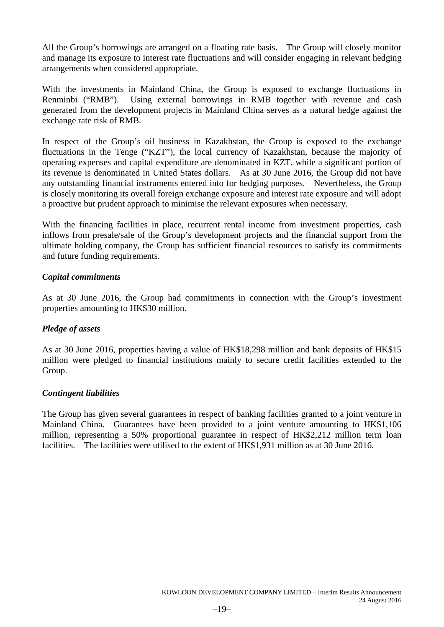All the Group's borrowings are arranged on a floating rate basis. The Group will closely monitor and manage its exposure to interest rate fluctuations and will consider engaging in relevant hedging arrangements when considered appropriate.

With the investments in Mainland China, the Group is exposed to exchange fluctuations in Renminbi ("RMB"). Using external borrowings in RMB together with revenue and cash generated from the development projects in Mainland China serves as a natural hedge against the exchange rate risk of RMB.

In respect of the Group's oil business in Kazakhstan, the Group is exposed to the exchange fluctuations in the Tenge ("KZT"), the local currency of Kazakhstan, because the majority of operating expenses and capital expenditure are denominated in KZT, while a significant portion of its revenue is denominated in United States dollars. As at 30 June 2016, the Group did not have any outstanding financial instruments entered into for hedging purposes. Nevertheless, the Group is closely monitoring its overall foreign exchange exposure and interest rate exposure and will adopt a proactive but prudent approach to minimise the relevant exposures when necessary.

With the financing facilities in place, recurrent rental income from investment properties, cash inflows from presale/sale of the Group's development projects and the financial support from the ultimate holding company, the Group has sufficient financial resources to satisfy its commitments and future funding requirements.

# *Capital commitments*

As at 30 June 2016, the Group had commitments in connection with the Group's investment properties amounting to HK\$30 million.

# *Pledge of assets*

As at 30 June 2016, properties having a value of HK\$18,298 million and bank deposits of HK\$15 million were pledged to financial institutions mainly to secure credit facilities extended to the Group.

# *Contingent liabilities*

The Group has given several guarantees in respect of banking facilities granted to a joint venture in Mainland China. Guarantees have been provided to a joint venture amounting to HK\$1,106 million, representing a 50% proportional guarantee in respect of HK\$2,212 million term loan facilities. The facilities were utilised to the extent of HK\$1,931 million as at 30 June 2016.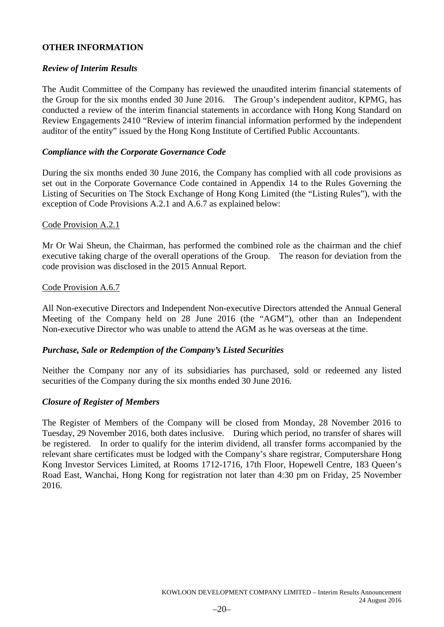# **OTHER INFORMATION**

# *Review of Interim Results*

The Audit Committee of the Company has reviewed the unaudited interim financial statements of the Group for the six months ended 30 June 2016. The Group's independent auditor, KPMG, has conducted a review of the interim financial statements in accordance with Hong Kong Standard on Review Engagements 2410 "Review of interim financial information performed by the independent auditor of the entity" issued by the Hong Kong Institute of Certified Public Accountants.

# *Compliance with the Corporate Governance Code*

During the six months ended 30 June 2016, the Company has complied with all code provisions as set out in the Corporate Governance Code contained in Appendix 14 to the Rules Governing the Listing of Securities on The Stock Exchange of Hong Kong Limited (the "Listing Rules"), with the exception of Code Provisions A.2.1 and A.6.7 as explained below:

# Code Provision A.2.1

Mr Or Wai Sheun, the Chairman, has performed the combined role as the chairman and the chief executive taking charge of the overall operations of the Group. The reason for deviation from the code provision was disclosed in the 2015 Annual Report.

# Code Provision A.6.7

All Non-executive Directors and Independent Non-executive Directors attended the Annual General Meeting of the Company held on 28 June 2016 (the "AGM"), other than an Independent Non-executive Director who was unable to attend the AGM as he was overseas at the time.

# *Purchase, Sale or Redemption of the Company's Listed Securities*

Neither the Company nor any of its subsidiaries has purchased, sold or redeemed any listed securities of the Company during the six months ended 30 June 2016.

# *Closure of Register of Members*

The Register of Members of the Company will be closed from Monday, 28 November 2016 to Tuesday, 29 November 2016, both dates inclusive. During which period, no transfer of shares will be registered. In order to qualify for the interim dividend, all transfer forms accompanied by the relevant share certificates must be lodged with the Company's share registrar, Computershare Hong Kong Investor Services Limited, at Rooms 1712-1716, 17th Floor, Hopewell Centre, 183 Queen's Road East, Wanchai, Hong Kong for registration not later than 4:30 pm on Friday, 25 November 2016.